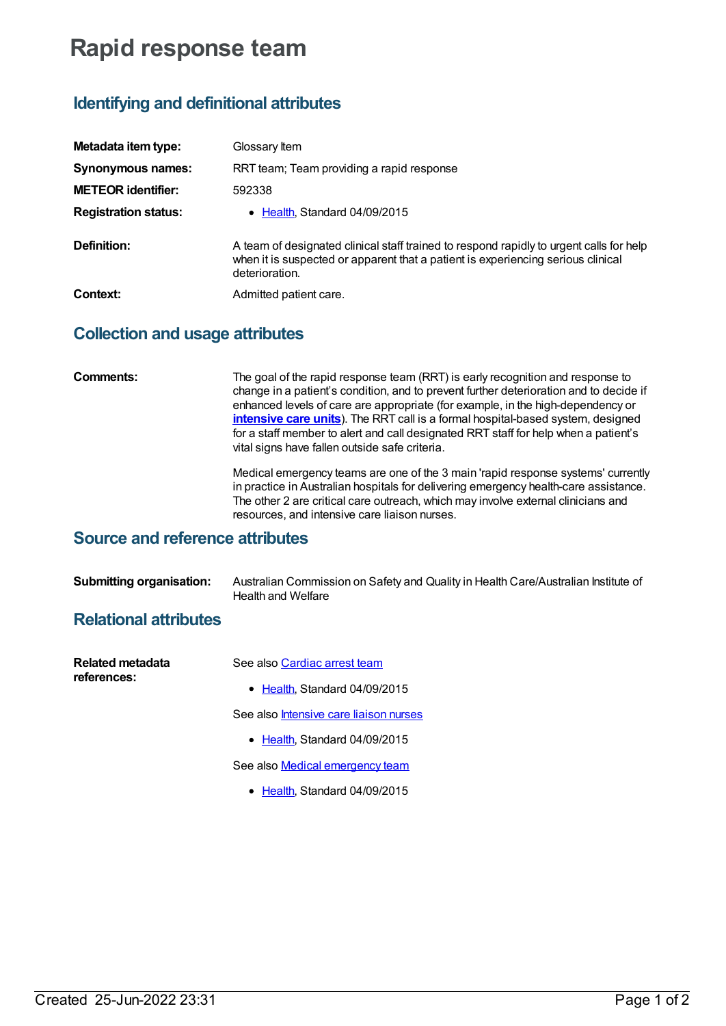# **Rapid response team**

## **Identifying and definitional attributes**

| Metadata item type:         | Glossary Item                                                                                                                                                                                 |
|-----------------------------|-----------------------------------------------------------------------------------------------------------------------------------------------------------------------------------------------|
| Synonymous names:           | RRT team; Team providing a rapid response                                                                                                                                                     |
| <b>METEOR identifier:</b>   | 592338                                                                                                                                                                                        |
| <b>Registration status:</b> | Health, Standard 04/09/2015                                                                                                                                                                   |
| Definition:                 | A team of designated clinical staff trained to respond rapidly to urgent calls for help<br>when it is suspected or apparent that a patient is experiencing serious clinical<br>deterioration. |
| Context:                    | Admitted patient care.                                                                                                                                                                        |

## **Collection and usage attributes**

**Comments:** The goal of the rapid response team (RRT) is early recognition and response to change in a patient's condition, and to prevent further deterioration and to decide if enhanced levels of care are appropriate (for example, in the high-dependency or **[intensive](https://meteor.aihw.gov.au/content/327234) care units**). The RRT call is a formal hospital-based system, designed for a staff member to alert and call designated RRT staff for help when a patient's vital signs have fallen outside safe criteria.

> Medical emergency teams are one of the 3 main 'rapid response systems' currently in practice in Australian hospitals for delivering emergency health-care assistance. The other 2 are critical care outreach, which may involve external clinicians and resources, and intensive care liaison nurses.

### **Source and reference attributes**

| <b>Submitting organisation:</b> | Australian Commission on Safety and Quality in Health Care/Australian Institute of |
|---------------------------------|------------------------------------------------------------------------------------|
|                                 | Health and Welfare                                                                 |

## **Relational attributes**

| See also Cardiac arrest team                  |
|-----------------------------------------------|
| • Health, Standard 04/09/2015                 |
| See also <i>Intensive care liaison nurses</i> |
| $\bullet$ Health. Standard 04/09/2015         |
| See also Medical emergency team               |
|                                               |

• [Health](https://meteor.aihw.gov.au/RegistrationAuthority/12), Standard 04/09/2015